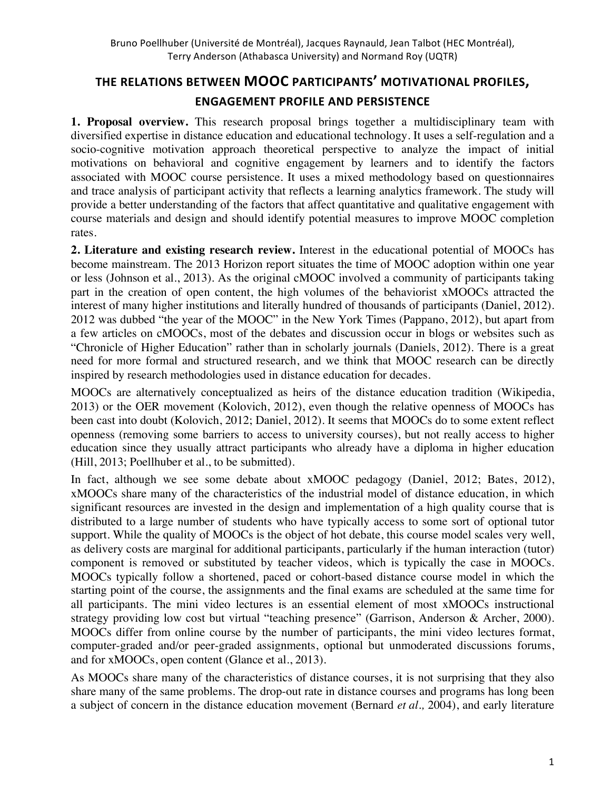# **THE\$RELATIONS BETWEEN\$MOOC PARTICIPANTS' MOTIVATIONAL\$PROFILES, ENGAGEMENT PROFILE AND PERSISTENCE**

**1. Proposal overview.** This research proposal brings together a multidisciplinary team with diversified expertise in distance education and educational technology. It uses a self-regulation and a socio-cognitive motivation approach theoretical perspective to analyze the impact of initial motivations on behavioral and cognitive engagement by learners and to identify the factors associated with MOOC course persistence. It uses a mixed methodology based on questionnaires and trace analysis of participant activity that reflects a learning analytics framework. The study will provide a better understanding of the factors that affect quantitative and qualitative engagement with course materials and design and should identify potential measures to improve MOOC completion rates.

**2. Literature and existing research review.** Interest in the educational potential of MOOCs has become mainstream. The 2013 Horizon report situates the time of MOOC adoption within one year or less (Johnson et al., 2013). As the original cMOOC involved a community of participants taking part in the creation of open content, the high volumes of the behaviorist xMOOCs attracted the interest of many higher institutions and literally hundred of thousands of participants (Daniel, 2012). 2012 was dubbed "the year of the MOOC" in the New York Times (Pappano, 2012), but apart from a few articles on cMOOCs, most of the debates and discussion occur in blogs or websites such as "Chronicle of Higher Education" rather than in scholarly journals (Daniels, 2012). There is a great need for more formal and structured research, and we think that MOOC research can be directly inspired by research methodologies used in distance education for decades.

MOOCs are alternatively conceptualized as heirs of the distance education tradition (Wikipedia, 2013) or the OER movement (Kolovich, 2012), even though the relative openness of MOOCs has been cast into doubt (Kolovich, 2012; Daniel, 2012). It seems that MOOCs do to some extent reflect openness (removing some barriers to access to university courses), but not really access to higher education since they usually attract participants who already have a diploma in higher education (Hill, 2013; Poellhuber et al., to be submitted).

In fact, although we see some debate about xMOOC pedagogy (Daniel, 2012; Bates, 2012), xMOOCs share many of the characteristics of the industrial model of distance education, in which significant resources are invested in the design and implementation of a high quality course that is distributed to a large number of students who have typically access to some sort of optional tutor support. While the quality of MOOCs is the object of hot debate, this course model scales very well, as delivery costs are marginal for additional participants, particularly if the human interaction (tutor) component is removed or substituted by teacher videos, which is typically the case in MOOCs. MOOCs typically follow a shortened, paced or cohort-based distance course model in which the starting point of the course, the assignments and the final exams are scheduled at the same time for all participants. The mini video lectures is an essential element of most xMOOCs instructional strategy providing low cost but virtual "teaching presence" (Garrison, Anderson & Archer, 2000). MOOCs differ from online course by the number of participants, the mini video lectures format, computer-graded and/or peer-graded assignments, optional but unmoderated discussions forums, and for xMOOCs, open content (Glance et al., 2013).

As MOOCs share many of the characteristics of distance courses, it is not surprising that they also share many of the same problems. The drop-out rate in distance courses and programs has long been a subject of concern in the distance education movement (Bernard *et al.,* 2004), and early literature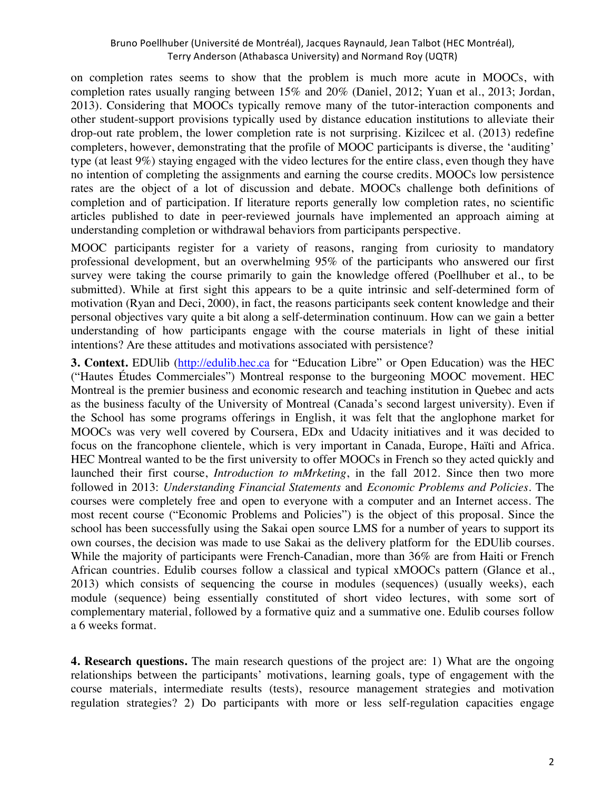on completion rates seems to show that the problem is much more acute in MOOCs, with completion rates usually ranging between 15% and 20% (Daniel, 2012; Yuan et al., 2013; Jordan, 2013). Considering that MOOCs typically remove many of the tutor-interaction components and other student-support provisions typically used by distance education institutions to alleviate their drop-out rate problem, the lower completion rate is not surprising. Kizilcec et al. (2013) redefine completers, however, demonstrating that the profile of MOOC participants is diverse, the 'auditing' type (at least 9%) staying engaged with the video lectures for the entire class, even though they have no intention of completing the assignments and earning the course credits. MOOCs low persistence rates are the object of a lot of discussion and debate. MOOCs challenge both definitions of completion and of participation. If literature reports generally low completion rates, no scientific articles published to date in peer-reviewed journals have implemented an approach aiming at understanding completion or withdrawal behaviors from participants perspective.

MOOC participants register for a variety of reasons, ranging from curiosity to mandatory professional development, but an overwhelming 95% of the participants who answered our first survey were taking the course primarily to gain the knowledge offered (Poellhuber et al., to be submitted). While at first sight this appears to be a quite intrinsic and self-determined form of motivation (Ryan and Deci, 2000), in fact, the reasons participants seek content knowledge and their personal objectives vary quite a bit along a self-determination continuum. How can we gain a better understanding of how participants engage with the course materials in light of these initial intentions? Are these attitudes and motivations associated with persistence?

**3. Context.** EDUlib (http://edulib.hec.ca for "Education Libre" or Open Education) was the HEC ("Hautes Études Commerciales") Montreal response to the burgeoning MOOC movement. HEC Montreal is the premier business and economic research and teaching institution in Quebec and acts as the business faculty of the University of Montreal (Canada's second largest university). Even if the School has some programs offerings in English, it was felt that the anglophone market for MOOCs was very well covered by Coursera, EDx and Udacity initiatives and it was decided to focus on the francophone clientele, which is very important in Canada, Europe, Haïti and Africa. HEC Montreal wanted to be the first university to offer MOOCs in French so they acted quickly and launched their first course, *Introduction to mMrketing*, in the fall 2012. Since then two more followed in 2013: *Understanding Financial Statements* and *Economic Problems and Policies*. The courses were completely free and open to everyone with a computer and an Internet access. The most recent course ("Economic Problems and Policies") is the object of this proposal. Since the school has been successfully using the Sakai open source LMS for a number of years to support its own courses, the decision was made to use Sakai as the delivery platform for the EDUlib courses. While the majority of participants were French-Canadian, more than 36% are from Haiti or French African countries. Edulib courses follow a classical and typical xMOOCs pattern (Glance et al., 2013) which consists of sequencing the course in modules (sequences) (usually weeks), each module (sequence) being essentially constituted of short video lectures, with some sort of complementary material, followed by a formative quiz and a summative one. Edulib courses follow a 6 weeks format.

**4. Research questions.** The main research questions of the project are: 1) What are the ongoing relationships between the participants' motivations, learning goals, type of engagement with the course materials, intermediate results (tests), resource management strategies and motivation regulation strategies? 2) Do participants with more or less self-regulation capacities engage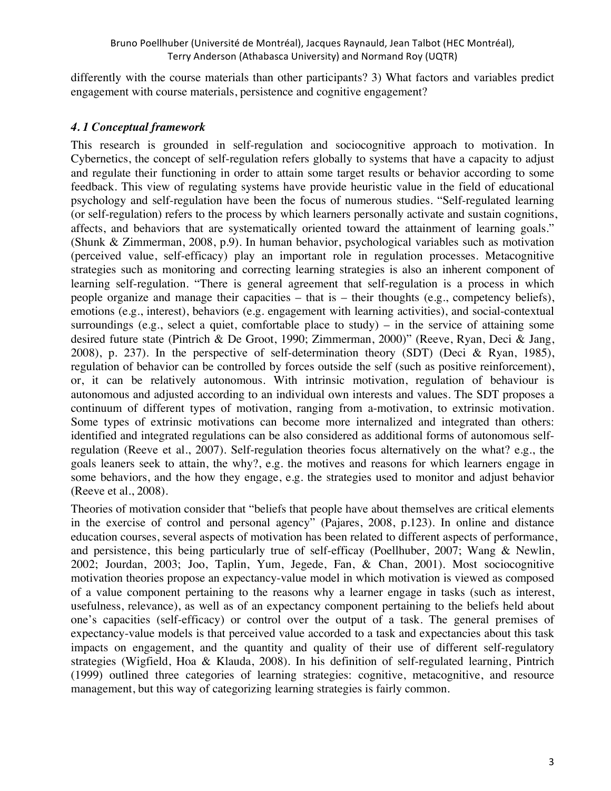differently with the course materials than other participants? 3) What factors and variables predict engagement with course materials, persistence and cognitive engagement?

## *4. 1 Conceptual framework*

This research is grounded in self-regulation and sociocognitive approach to motivation. In Cybernetics, the concept of self-regulation refers globally to systems that have a capacity to adjust and regulate their functioning in order to attain some target results or behavior according to some feedback. This view of regulating systems have provide heuristic value in the field of educational psychology and self-regulation have been the focus of numerous studies. "Self-regulated learning (or self-regulation) refers to the process by which learners personally activate and sustain cognitions, affects, and behaviors that are systematically oriented toward the attainment of learning goals." (Shunk & Zimmerman, 2008, p.9). In human behavior, psychological variables such as motivation (perceived value, self-efficacy) play an important role in regulation processes. Metacognitive strategies such as monitoring and correcting learning strategies is also an inherent component of learning self-regulation. "There is general agreement that self-regulation is a process in which people organize and manage their capacities – that is – their thoughts (e.g., competency beliefs), emotions (e.g., interest), behaviors (e.g. engagement with learning activities), and social-contextual surroundings (e.g., select a quiet, comfortable place to study) – in the service of attaining some desired future state (Pintrich & De Groot, 1990; Zimmerman, 2000)" (Reeve, Ryan, Deci & Jang, 2008), p. 237). In the perspective of self-determination theory (SDT) (Deci & Ryan, 1985), regulation of behavior can be controlled by forces outside the self (such as positive reinforcement), or, it can be relatively autonomous. With intrinsic motivation, regulation of behaviour is autonomous and adjusted according to an individual own interests and values. The SDT proposes a continuum of different types of motivation, ranging from a-motivation, to extrinsic motivation. Some types of extrinsic motivations can become more internalized and integrated than others: identified and integrated regulations can be also considered as additional forms of autonomous selfregulation (Reeve et al., 2007). Self-regulation theories focus alternatively on the what? e.g., the goals leaners seek to attain, the why?, e.g. the motives and reasons for which learners engage in some behaviors, and the how they engage, e.g. the strategies used to monitor and adjust behavior (Reeve et al., 2008).

Theories of motivation consider that "beliefs that people have about themselves are critical elements in the exercise of control and personal agency" (Pajares, 2008, p.123). In online and distance education courses, several aspects of motivation has been related to different aspects of performance, and persistence, this being particularly true of self-efficay (Poellhuber, 2007; Wang & Newlin, 2002; Jourdan, 2003; Joo, Taplin, Yum, Jegede, Fan, & Chan, 2001). Most sociocognitive motivation theories propose an expectancy-value model in which motivation is viewed as composed of a value component pertaining to the reasons why a learner engage in tasks (such as interest, usefulness, relevance), as well as of an expectancy component pertaining to the beliefs held about one's capacities (self-efficacy) or control over the output of a task. The general premises of expectancy-value models is that perceived value accorded to a task and expectancies about this task impacts on engagement, and the quantity and quality of their use of different self-regulatory strategies (Wigfield, Hoa & Klauda, 2008). In his definition of self-regulated learning, Pintrich (1999) outlined three categories of learning strategies: cognitive, metacognitive, and resource management, but this way of categorizing learning strategies is fairly common.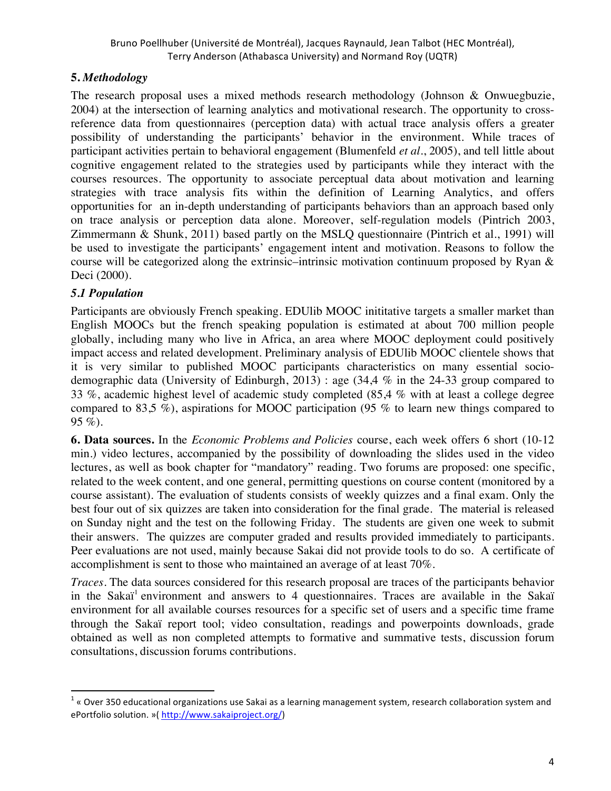## **5.** *Methodology*

The research proposal uses a mixed methods research methodology (Johnson & Onwuegbuzie, 2004) at the intersection of learning analytics and motivational research. The opportunity to crossreference data from questionnaires (perception data) with actual trace analysis offers a greater possibility of understanding the participants' behavior in the environment. While traces of participant activities pertain to behavioral engagement (Blumenfeld *et al.*, 2005), and tell little about cognitive engagement related to the strategies used by participants while they interact with the courses resources. The opportunity to associate perceptual data about motivation and learning strategies with trace analysis fits within the definition of Learning Analytics, and offers opportunities for an in-depth understanding of participants behaviors than an approach based only on trace analysis or perception data alone. Moreover, self-regulation models (Pintrich 2003, Zimmermann & Shunk, 2011) based partly on the MSLQ questionnaire (Pintrich et al., 1991) will be used to investigate the participants' engagement intent and motivation. Reasons to follow the course will be categorized along the extrinsic–intrinsic motivation continuum proposed by Ryan & Deci (2000).

## *5.1 Population*

!!!!!!!!!!!!!!!!!!!!!!!!!!!!!!!!!!!!!!!!!!!!!!!!!!!!!!!!!!!!

Participants are obviously French speaking. EDUlib MOOC inititative targets a smaller market than English MOOCs but the french speaking population is estimated at about 700 million people globally, including many who live in Africa, an area where MOOC deployment could positively impact access and related development. Preliminary analysis of EDUlib MOOC clientele shows that it is very similar to published MOOC participants characteristics on many essential sociodemographic data (University of Edinburgh, 2013) : age (34,4 % in the 24-33 group compared to 33 %, academic highest level of academic study completed (85,4 % with at least a college degree compared to 83,5 %), aspirations for MOOC participation (95 % to learn new things compared to 95 %).

**6. Data sources.** In the *Economic Problems and Policies* course, each week offers 6 short (10-12 min.) video lectures, accompanied by the possibility of downloading the slides used in the video lectures, as well as book chapter for "mandatory" reading. Two forums are proposed: one specific, related to the week content, and one general, permitting questions on course content (monitored by a course assistant). The evaluation of students consists of weekly quizzes and a final exam. Only the best four out of six quizzes are taken into consideration for the final grade. The material is released on Sunday night and the test on the following Friday. The students are given one week to submit their answers. The quizzes are computer graded and results provided immediately to participants. Peer evaluations are not used, mainly because Sakai did not provide tools to do so. A certificate of accomplishment is sent to those who maintained an average of at least 70%.

*Traces.* The data sources considered for this research proposal are traces of the participants behavior in the Sakaï<sup>1</sup> environment and answers to 4 questionnaires. Traces are available in the Sakaï environment for all available courses resources for a specific set of users and a specific time frame through the Sakaï report tool; video consultation, readings and powerpoints downloads, grade obtained as well as non completed attempts to formative and summative tests, discussion forum consultations, discussion forums contributions.

 $1$  « Over 350 educational organizations use Sakai as a learning management system, research collaboration system and ePortfolio solution. »( http://www.sakaiproject.org/)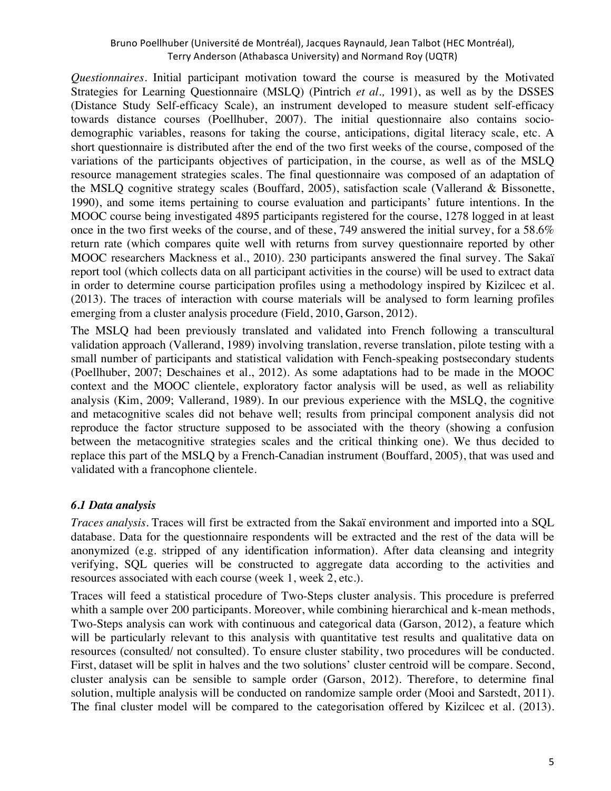*Questionnaires.* Initial participant motivation toward the course is measured by the Motivated Strategies for Learning Questionnaire (MSLQ) (Pintrich *et al.,* 1991), as well as by the DSSES (Distance Study Self-efficacy Scale), an instrument developed to measure student self-efficacy towards distance courses (Poellhuber, 2007). The initial questionnaire also contains sociodemographic variables, reasons for taking the course, anticipations, digital literacy scale, etc. A short questionnaire is distributed after the end of the two first weeks of the course, composed of the variations of the participants objectives of participation, in the course, as well as of the MSLQ resource management strategies scales. The final questionnaire was composed of an adaptation of the MSLQ cognitive strategy scales (Bouffard, 2005), satisfaction scale (Vallerand & Bissonette, 1990), and some items pertaining to course evaluation and participants' future intentions. In the MOOC course being investigated 4895 participants registered for the course, 1278 logged in at least once in the two first weeks of the course, and of these, 749 answered the initial survey, for a 58.6% return rate (which compares quite well with returns from survey questionnaire reported by other MOOC researchers Mackness et al., 2010). 230 participants answered the final survey. The Sakaï report tool (which collects data on all participant activities in the course) will be used to extract data in order to determine course participation profiles using a methodology inspired by Kizilcec et al. (2013). The traces of interaction with course materials will be analysed to form learning profiles emerging from a cluster analysis procedure (Field, 2010, Garson, 2012).

The MSLQ had been previously translated and validated into French following a transcultural validation approach (Vallerand, 1989) involving translation, reverse translation, pilote testing with a small number of participants and statistical validation with Fench-speaking postsecondary students (Poellhuber, 2007; Deschaines et al., 2012). As some adaptations had to be made in the MOOC context and the MOOC clientele, exploratory factor analysis will be used, as well as reliability analysis (Kim, 2009; Vallerand, 1989). In our previous experience with the MSLQ, the cognitive and metacognitive scales did not behave well; results from principal component analysis did not reproduce the factor structure supposed to be associated with the theory (showing a confusion between the metacognitive strategies scales and the critical thinking one). We thus decided to replace this part of the MSLQ by a French-Canadian instrument (Bouffard, 2005), that was used and validated with a francophone clientele.

## *6.1 Data analysis*

*Traces analysis.* Traces will first be extracted from the Sakaï environment and imported into a SQL database. Data for the questionnaire respondents will be extracted and the rest of the data will be anonymized (e.g. stripped of any identification information). After data cleansing and integrity verifying, SQL queries will be constructed to aggregate data according to the activities and resources associated with each course (week 1, week 2, etc.).

Traces will feed a statistical procedure of Two-Steps cluster analysis. This procedure is preferred whith a sample over 200 participants. Moreover, while combining hierarchical and k-mean methods, Two-Steps analysis can work with continuous and categorical data (Garson, 2012), a feature which will be particularly relevant to this analysis with quantitative test results and qualitative data on resources (consulted/ not consulted). To ensure cluster stability, two procedures will be conducted. First, dataset will be split in halves and the two solutions' cluster centroid will be compare. Second, cluster analysis can be sensible to sample order (Garson, 2012). Therefore, to determine final solution, multiple analysis will be conducted on randomize sample order (Mooi and Sarstedt, 2011). The final cluster model will be compared to the categorisation offered by Kizilcec et al. (2013).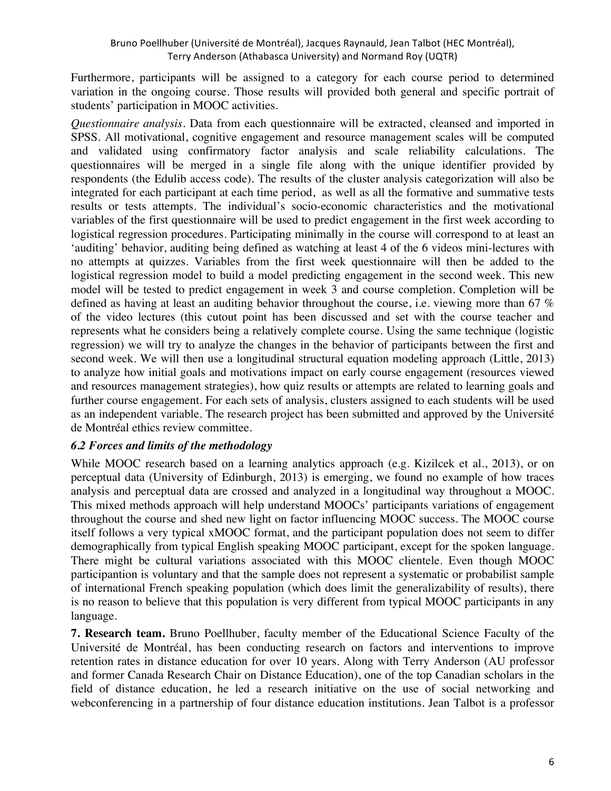Furthermore, participants will be assigned to a category for each course period to determined variation in the ongoing course. Those results will provided both general and specific portrait of students' participation in MOOC activities.

*Questionnaire analysis.* Data from each questionnaire will be extracted, cleansed and imported in SPSS. All motivational, cognitive engagement and resource management scales will be computed and validated using confirmatory factor analysis and scale reliability calculations. The questionnaires will be merged in a single file along with the unique identifier provided by respondents (the Edulib access code). The results of the cluster analysis categorization will also be integrated for each participant at each time period, as well as all the formative and summative tests results or tests attempts. The individual's socio-economic characteristics and the motivational variables of the first questionnaire will be used to predict engagement in the first week according to logistical regression procedures. Participating minimally in the course will correspond to at least an 'auditing' behavior, auditing being defined as watching at least 4 of the 6 videos mini-lectures with no attempts at quizzes. Variables from the first week questionnaire will then be added to the logistical regression model to build a model predicting engagement in the second week. This new model will be tested to predict engagement in week 3 and course completion. Completion will be defined as having at least an auditing behavior throughout the course, i.e. viewing more than 67 % of the video lectures (this cutout point has been discussed and set with the course teacher and represents what he considers being a relatively complete course. Using the same technique (logistic regression) we will try to analyze the changes in the behavior of participants between the first and second week. We will then use a longitudinal structural equation modeling approach (Little, 2013) to analyze how initial goals and motivations impact on early course engagement (resources viewed and resources management strategies), how quiz results or attempts are related to learning goals and further course engagement. For each sets of analysis, clusters assigned to each students will be used as an independent variable. The research project has been submitted and approved by the Université de Montréal ethics review committee.

## *6.2 Forces and limits of the methodology*

While MOOC research based on a learning analytics approach (e.g. Kizilcek et al., 2013), or on perceptual data (University of Edinburgh, 2013) is emerging, we found no example of how traces analysis and perceptual data are crossed and analyzed in a longitudinal way throughout a MOOC. This mixed methods approach will help understand MOOCs' participants variations of engagement throughout the course and shed new light on factor influencing MOOC success. The MOOC course itself follows a very typical xMOOC format, and the participant population does not seem to differ demographically from typical English speaking MOOC participant, except for the spoken language. There might be cultural variations associated with this MOOC clientele. Even though MOOC participantion is voluntary and that the sample does not represent a systematic or probabilist sample of international French speaking population (which does limit the generalizability of results), there is no reason to believe that this population is very different from typical MOOC participants in any language.

**7. Research team.** Bruno Poellhuber, faculty member of the Educational Science Faculty of the Université de Montréal, has been conducting research on factors and interventions to improve retention rates in distance education for over 10 years. Along with Terry Anderson (AU professor and former Canada Research Chair on Distance Education), one of the top Canadian scholars in the field of distance education, he led a research initiative on the use of social networking and webconferencing in a partnership of four distance education institutions. Jean Talbot is a professor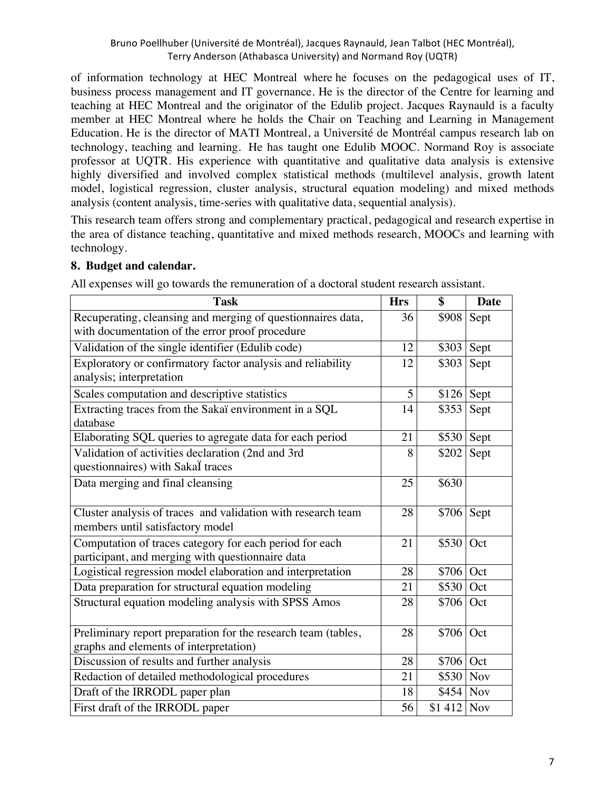of information technology at HEC Montreal where he focuses on the pedagogical uses of IT, business process management and IT governance. He is the director of the Centre for learning and teaching at HEC Montreal and the originator of the Edulib project. Jacques Raynauld is a faculty member at HEC Montreal where he holds the Chair on Teaching and Learning in Management Education. He is the director of MATI Montreal, a Université de Montréal campus research lab on technology, teaching and learning. He has taught one Edulib MOOC. Normand Roy is associate professor at UQTR. His experience with quantitative and qualitative data analysis is extensive highly diversified and involved complex statistical methods (multilevel analysis, growth latent model, logistical regression, cluster analysis, structural equation modeling) and mixed methods analysis (content analysis, time-series with qualitative data, sequential analysis).

This research team offers strong and complementary practical, pedagogical and research expertise in the area of distance teaching, quantitative and mixed methods research, MOOCs and learning with technology.

### **8. Budget and calendar.**

All expenses will go towards the remuneration of a doctoral student research assistant.

| <b>Task</b>                                                                                                 | <b>Hrs</b> | \$                     | <b>Date</b> |
|-------------------------------------------------------------------------------------------------------------|------------|------------------------|-------------|
| Recuperating, cleansing and merging of questionnaires data,                                                 | 36         | \$908                  | Sept        |
| with documentation of the error proof procedure                                                             |            |                        |             |
| Validation of the single identifier (Edulib code)                                                           | 12         | \$303                  | Sept        |
| Exploratory or confirmatory factor analysis and reliability<br>analysis; interpretation                     | 12         | \$303                  | Sept        |
| Scales computation and descriptive statistics                                                               | 5          | $$126$ Sept            |             |
| Extracting traces from the Sakaï environment in a SQL<br>database                                           | 14         | \$353                  | Sept        |
| Elaborating SQL queries to agregate data for each period                                                    | 21         | $$530$ Sept            |             |
| Validation of activities declaration (2nd and 3rd<br>questionnaires) with Sakal traces                      | 8          | \$202                  | Sept        |
| Data merging and final cleansing                                                                            | 25         | \$630                  |             |
| Cluster analysis of traces and validation with research team<br>members until satisfactory model            | 28         | $\overline{$}706$ Sept |             |
| Computation of traces category for each period for each<br>participant, and merging with questionnaire data | 21         | \$530                  | Oct         |
| Logistical regression model elaboration and interpretation                                                  | 28         | $$706$ Oct             |             |
| Data preparation for structural equation modeling                                                           | 21         | \$530                  | Oct         |
| Structural equation modeling analysis with SPSS Amos                                                        | 28         | $$706$ Oct             |             |
| Preliminary report preparation for the research team (tables,<br>graphs and elements of interpretation)     | 28         | \$706 Oct              |             |
| Discussion of results and further analysis                                                                  | 28         | $$706$ Oct             |             |
| Redaction of detailed methodological procedures                                                             | 21         | \$530 Nov              |             |
| Draft of the IRRODL paper plan                                                                              | 18         | $$454$ Nov             |             |
| First draft of the IRRODL paper                                                                             | 56         | $$1412$ Nov            |             |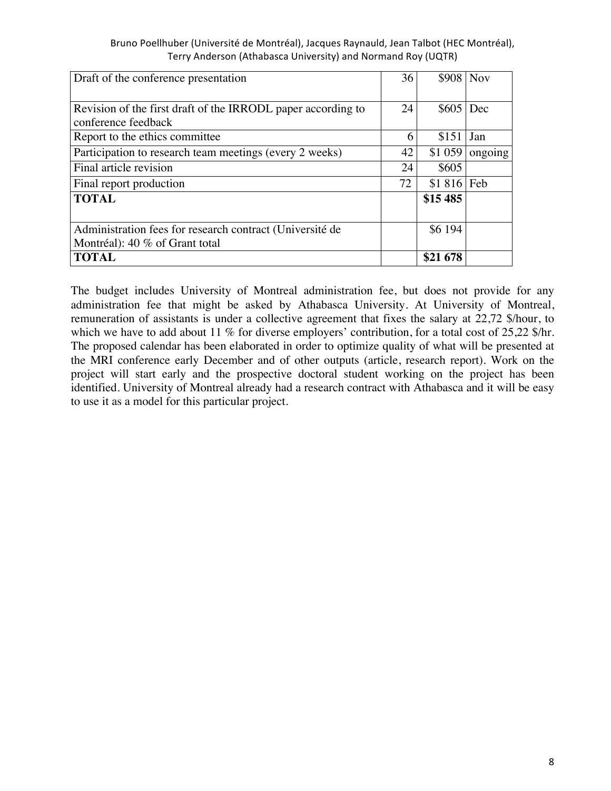| Draft of the conference presentation                         | 36 | \$908       | <b>Nov</b> |
|--------------------------------------------------------------|----|-------------|------------|
|                                                              |    |             |            |
| Revision of the first draft of the IRRODL paper according to | 24 | \$605       | Dec        |
| conference feedback                                          |    |             |            |
| Report to the ethics committee                               | 6  | \$151       | Jan        |
| Participation to research team meetings (every 2 weeks)      | 42 | \$1 059     | ongoing    |
| Final article revision                                       | 24 | \$605       |            |
| Final report production                                      | 72 | $$1816$ Feb |            |
| <b>TOTAL</b>                                                 |    | \$15 485    |            |
|                                                              |    |             |            |
| Administration fees for research contract (Université de     |    | \$6 194     |            |
| Montréal): 40 % of Grant total                               |    |             |            |
| <b>TOTAL</b>                                                 |    | \$21 678    |            |

The budget includes University of Montreal administration fee, but does not provide for any administration fee that might be asked by Athabasca University. At University of Montreal, remuneration of assistants is under a collective agreement that fixes the salary at 22,72 \$/hour, to which we have to add about 11 % for diverse employers' contribution, for a total cost of 25,22 \$/hr. The proposed calendar has been elaborated in order to optimize quality of what will be presented at the MRI conference early December and of other outputs (article, research report). Work on the project will start early and the prospective doctoral student working on the project has been identified. University of Montreal already had a research contract with Athabasca and it will be easy to use it as a model for this particular project.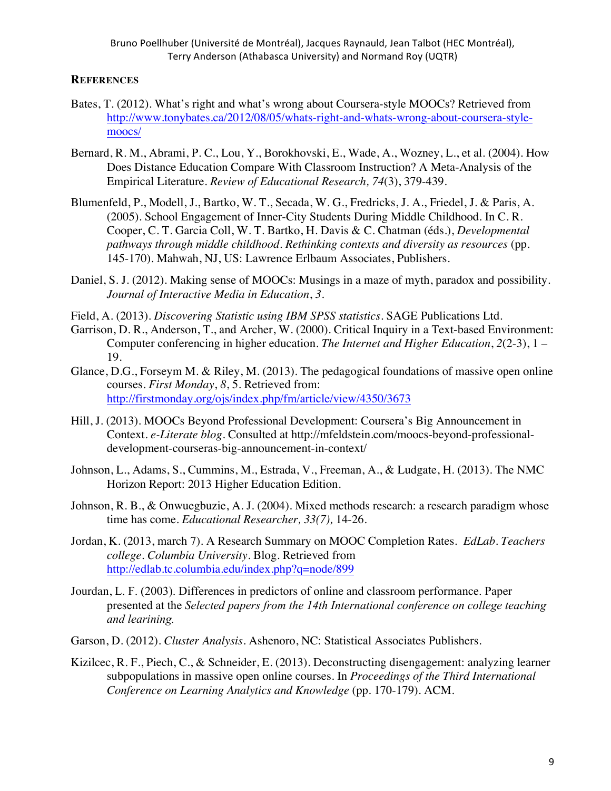#### **REFERENCES**

- Bates, T. (2012). What's right and what's wrong about Coursera-style MOOCs? Retrieved from http://www.tonybates.ca/2012/08/05/whats-right-and-whats-wrong-about-coursera-stylemoocs/
- Bernard, R. M., Abrami, P. C., Lou, Y., Borokhovski, E., Wade, A., Wozney, L., et al. (2004). How Does Distance Education Compare With Classroom Instruction? A Meta-Analysis of the Empirical Literature. *Review of Educational Research, 74*(3), 379-439.
- Blumenfeld, P., Modell, J., Bartko, W. T., Secada, W. G., Fredricks, J. A., Friedel, J. & Paris, A. (2005). School Engagement of Inner-City Students During Middle Childhood. In C. R. Cooper, C. T. Garcia Coll, W. T. Bartko, H. Davis & C. Chatman (éds.), *Developmental pathways through middle childhood. Rethinking contexts and diversity as resources* (pp. 145-170). Mahwah, NJ, US: Lawrence Erlbaum Associates, Publishers.
- Daniel, S. J. (2012). Making sense of MOOCs: Musings in a maze of myth, paradox and possibility. *Journal of Interactive Media in Education*, *3*.
- Field, A. (2013). *Discovering Statistic using IBM SPSS statistics*. SAGE Publications Ltd.
- Garrison, D. R., Anderson, T., and Archer, W. (2000). Critical Inquiry in a Text-based Environment: Computer conferencing in higher education. *The Internet and Higher Education*, *2*(2-3), 1 – 19.
- Glance, D.G., Forseym M. & Riley, M. (2013). The pedagogical foundations of massive open online courses. *First Monday*, *8*, 5. Retrieved from: http://firstmonday.org/ojs/index.php/fm/article/view/4350/3673
- Hill, J. (2013). MOOCs Beyond Professional Development: Coursera's Big Announcement in Context. *e-Literate blog*. Consulted at http://mfeldstein.com/moocs-beyond-professionaldevelopment-courseras-big-announcement-in-context/
- Johnson, L., Adams, S., Cummins, M., Estrada, V., Freeman, A., & Ludgate, H. (2013). The NMC Horizon Report: 2013 Higher Education Edition.
- Johnson, R. B., & Onwuegbuzie, A. J. (2004). Mixed methods research: a research paradigm whose time has come. *Educational Researcher, 33(7),* 14-26.
- Jordan, K. (2013, march 7). A Research Summary on MOOC Completion Rates. *EdLab. Teachers college. Columbia University.* Blog. Retrieved from http://edlab.tc.columbia.edu/index.php?q=node/899
- Jourdan, L. F. (2003). Differences in predictors of online and classroom performance. Paper presented at the *Selected papers from the 14th International conference on college teaching and learining.*
- Garson, D. (2012). *Cluster Analysis*. Ashenoro, NC: Statistical Associates Publishers.
- Kizilcec, R. F., Piech, C., & Schneider, E. (2013). Deconstructing disengagement: analyzing learner subpopulations in massive open online courses. In *Proceedings of the Third International Conference on Learning Analytics and Knowledge* (pp. 170-179). ACM.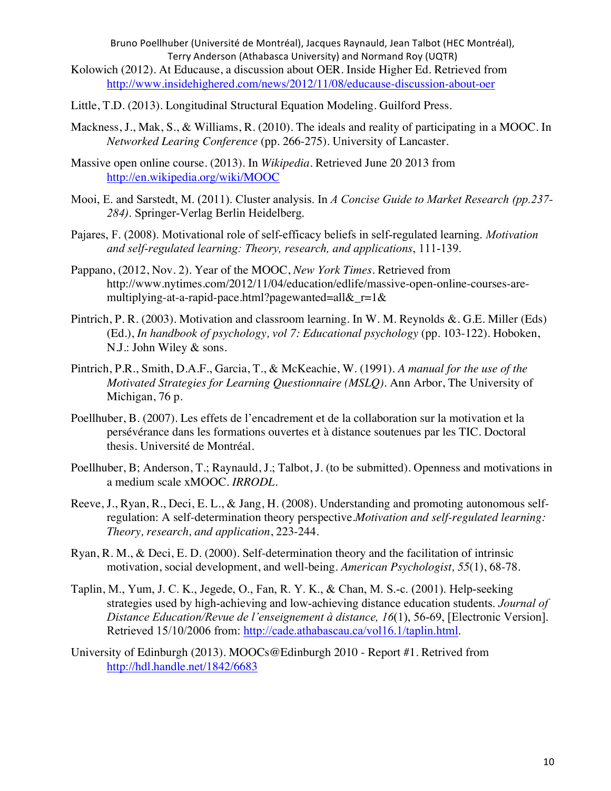- Kolowich (2012). At Educause, a discussion about OER. Inside Higher Ed. Retrieved from http://www.insidehighered.com/news/2012/11/08/educause-discussion-about-oer
- Little, T.D. (2013). Longitudinal Structural Equation Modeling. Guilford Press.
- Mackness, J., Mak, S., & Williams, R. (2010). The ideals and reality of participating in a MOOC. In *Networked Learing Conference* (pp. 266-275). University of Lancaster.
- Massive open online course. (2013). In *Wikipedia*. Retrieved June 20 2013 from http://en.wikipedia.org/wiki/MOOC
- Mooi, E. and Sarstedt, M. (2011). Cluster analysis. In *A Concise Guide to Market Research (pp.237- 284)*. Springer-Verlag Berlin Heidelberg.
- Pajares, F. (2008). Motivational role of self-efficacy beliefs in self-regulated learning. *Motivation and self-regulated learning: Theory, research, and applications*, 111-139.
- Pappano, (2012, Nov. 2). Year of the MOOC, *New York Times.* Retrieved from http://www.nytimes.com/2012/11/04/education/edlife/massive-open-online-courses-aremultiplying-at-a-rapid-pace.html?pagewanted=all $&r=1&$
- Pintrich, P. R. (2003). Motivation and classroom learning. In W. M. Reynolds &. G.E. Miller (Eds) (Ed.), *In handbook of psychology, vol 7: Educational psychology* (pp. 103-122). Hoboken, N.J.: John Wiley & sons.
- Pintrich, P.R., Smith, D.A.F., Garcia, T., & McKeachie, W. (1991). *A manual for the use of the Motivated Strategies for Learning Questionnaire (MSLQ).* Ann Arbor, The University of Michigan, 76 p.
- Poellhuber, B. (2007). Les effets de l'encadrement et de la collaboration sur la motivation et la persévérance dans les formations ouvertes et à distance soutenues par les TIC. Doctoral thesis. Université de Montréal.
- Poellhuber, B; Anderson, T.; Raynauld, J.; Talbot, J. (to be submitted). Openness and motivations in a medium scale xMOOC. *IRRODL*.
- Reeve, J., Ryan, R., Deci, E. L., & Jang, H. (2008). Understanding and promoting autonomous selfregulation: A self-determination theory perspective.*Motivation and self-regulated learning: Theory, research, and application*, 223-244.
- Ryan, R. M., & Deci, E. D. (2000). Self-determination theory and the facilitation of intrinsic motivation, social development, and well-being. *American Psychologist, 55*(1), 68-78.
- Taplin, M., Yum, J. C. K., Jegede, O., Fan, R. Y. K., & Chan, M. S.-c. (2001). Help-seeking strategies used by high-achieving and low-achieving distance education students. *Journal of Distance Education/Revue de l'enseignement à distance, 16*(1), 56-69, [Electronic Version]. Retrieved 15/10/2006 from: http://cade.athabascau.ca/vol16.1/taplin.html.
- University of Edinburgh (2013). MOOCs@Edinburgh 2010 Report #1. Retrived from http://hdl.handle.net/1842/6683